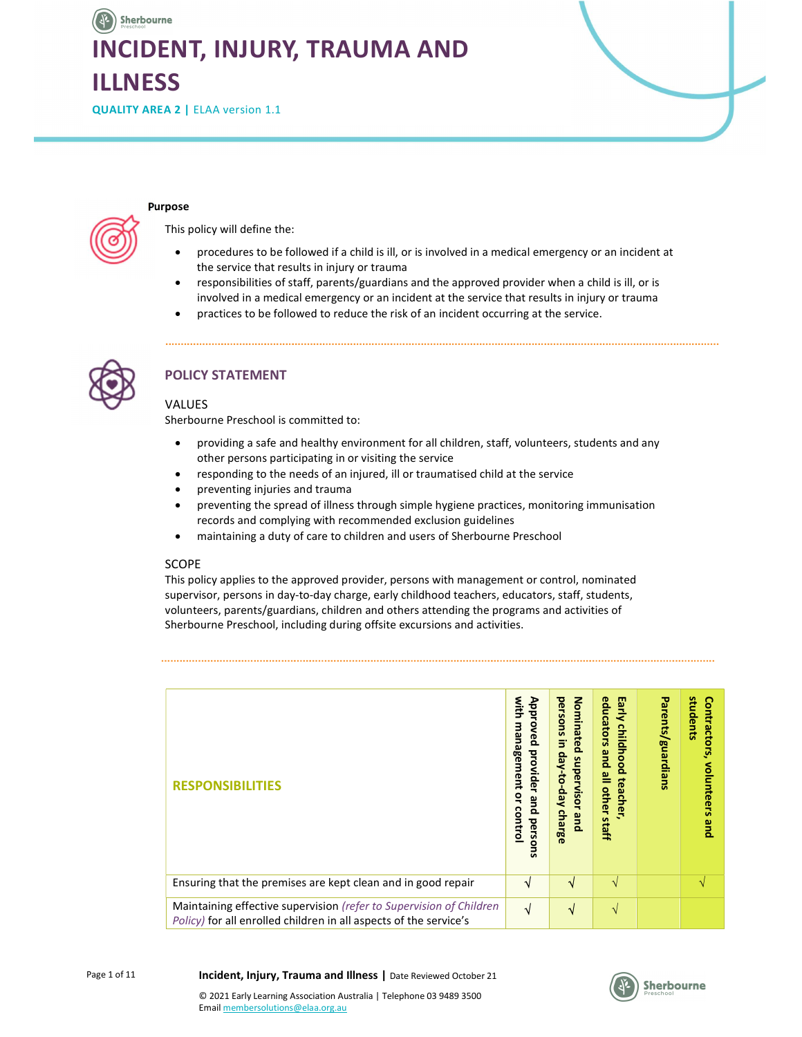# Sherbourne INCIDENT, INJURY, TRAUMA AND ILLNESS

QUALITY AREA 2 | ELAA version 1.1

#### Purpose

This policy will define the:

- procedures to be followed if a child is ill, or is involved in a medical emergency or an incident at the service that results in injury or trauma
- responsibilities of staff, parents/guardians and the approved provider when a child is ill, or is involved in a medical emergency or an incident at the service that results in injury or trauma
- practices to be followed to reduce the risk of an incident occurring at the service.



# POLICY STATEMENT

### VALUES

Sherbourne Preschool is committed to:

- providing a safe and healthy environment for all children, staff, volunteers, students and any other persons participating in or visiting the service
- responding to the needs of an injured, ill or traumatised child at the service
- preventing injuries and trauma
- preventing the spread of illness through simple hygiene practices, monitoring immunisation records and complying with recommended exclusion guidelines
- maintaining a duty of care to children and users of Sherbourne Preschool

#### SCOPE

This policy applies to the approved provider, persons with management or control, nominated supervisor, persons in day-to-day charge, early childhood teachers, educators, staff, students, volunteers, parents/guardians, children and others attending the programs and activities of Sherbourne Preschool, including during offsite excursions and activities.

| <b>RESPONSIBILITIES</b>                                                                                                                  | with<br>Approved<br>uew<br>agement<br>provider<br>٩<br>and persons<br>control | Nominated<br>persons<br>3<br>day-to-day<br>supervisor<br>charge<br>pue | Early<br>educators<br>childhood<br>pue<br>all other<br>teacher<br>staff | Parents/guardians | students<br>Contractors,<br>volunteers<br>pue |
|------------------------------------------------------------------------------------------------------------------------------------------|-------------------------------------------------------------------------------|------------------------------------------------------------------------|-------------------------------------------------------------------------|-------------------|-----------------------------------------------|
| Ensuring that the premises are kept clean and in good repair                                                                             | V                                                                             | N                                                                      | $\sqrt{ }$                                                              |                   | $\mathcal{N}$                                 |
| Maintaining effective supervision (refer to Supervision of Children<br>Policy) for all enrolled children in all aspects of the service's | V                                                                             | √                                                                      | $\sqrt{ }$                                                              |                   |                                               |

Incident, Injury, Trauma and Illness | Date Reviewed October 21

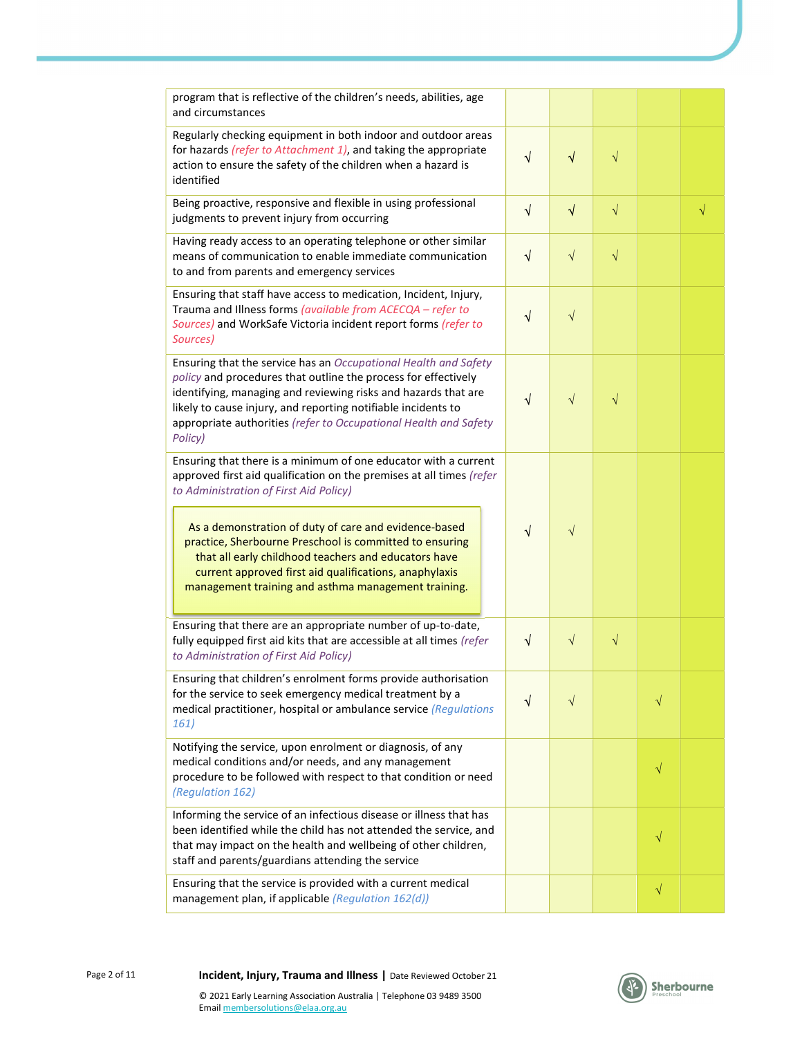| program that is reflective of the children's needs, abilities, age<br>and circumstances                                                                                                                                                                                                                                                             |           |            |           |           |           |
|-----------------------------------------------------------------------------------------------------------------------------------------------------------------------------------------------------------------------------------------------------------------------------------------------------------------------------------------------------|-----------|------------|-----------|-----------|-----------|
| Regularly checking equipment in both indoor and outdoor areas<br>for hazards (refer to Attachment 1), and taking the appropriate<br>action to ensure the safety of the children when a hazard is<br>identified                                                                                                                                      | √         | $\sqrt{}$  | $\sqrt{}$ |           |           |
| Being proactive, responsive and flexible in using professional<br>judgments to prevent injury from occurring                                                                                                                                                                                                                                        | $\sqrt{}$ | $\sqrt{ }$ | $\sqrt{}$ |           | $\sqrt{}$ |
| Having ready access to an operating telephone or other similar<br>means of communication to enable immediate communication<br>to and from parents and emergency services                                                                                                                                                                            | $\sqrt{}$ | $\sqrt{}$  | $\sqrt{}$ |           |           |
| Ensuring that staff have access to medication, Incident, Injury,<br>Trauma and Illness forms (available from ACECQA - refer to<br>Sources) and WorkSafe Victoria incident report forms (refer to<br>Sources)                                                                                                                                        | ٦         | $\sqrt{}$  |           |           |           |
| Ensuring that the service has an Occupational Health and Safety<br>policy and procedures that outline the process for effectively<br>identifying, managing and reviewing risks and hazards that are<br>likely to cause injury, and reporting notifiable incidents to<br>appropriate authorities (refer to Occupational Health and Safety<br>Policy) | √         | $\sqrt{}$  | $\sqrt{}$ |           |           |
| Ensuring that there is a minimum of one educator with a current<br>approved first aid qualification on the premises at all times (refer<br>to Administration of First Aid Policy)                                                                                                                                                                   |           |            |           |           |           |
| As a demonstration of duty of care and evidence-based<br>practice, Sherbourne Preschool is committed to ensuring<br>that all early childhood teachers and educators have<br>current approved first aid qualifications, anaphylaxis<br>management training and asthma management training.                                                           | √         | V          |           |           |           |
| Ensuring that there are an appropriate number of up-to-date,<br>fully equipped first aid kits that are accessible at all times (refer<br>to Administration of First Aid Policy)                                                                                                                                                                     | $\sqrt{}$ | $\sqrt{}$  | $\sqrt{}$ |           |           |
| Ensuring that children's enrolment forms provide authorisation<br>for the service to seek emergency medical treatment by a<br>medical practitioner, hospital or ambulance service (Regulations<br>161)                                                                                                                                              |           | V          |           | V         |           |
| Notifying the service, upon enrolment or diagnosis, of any<br>medical conditions and/or needs, and any management<br>procedure to be followed with respect to that condition or need<br>(Regulation 162)                                                                                                                                            |           |            |           | $\sqrt{}$ |           |
| Informing the service of an infectious disease or illness that has<br>been identified while the child has not attended the service, and<br>that may impact on the health and wellbeing of other children,<br>staff and parents/guardians attending the service                                                                                      |           |            |           | $\sqrt{}$ |           |
| Ensuring that the service is provided with a current medical<br>management plan, if applicable (Regulation 162(d))                                                                                                                                                                                                                                  |           |            |           | $\sqrt{}$ |           |

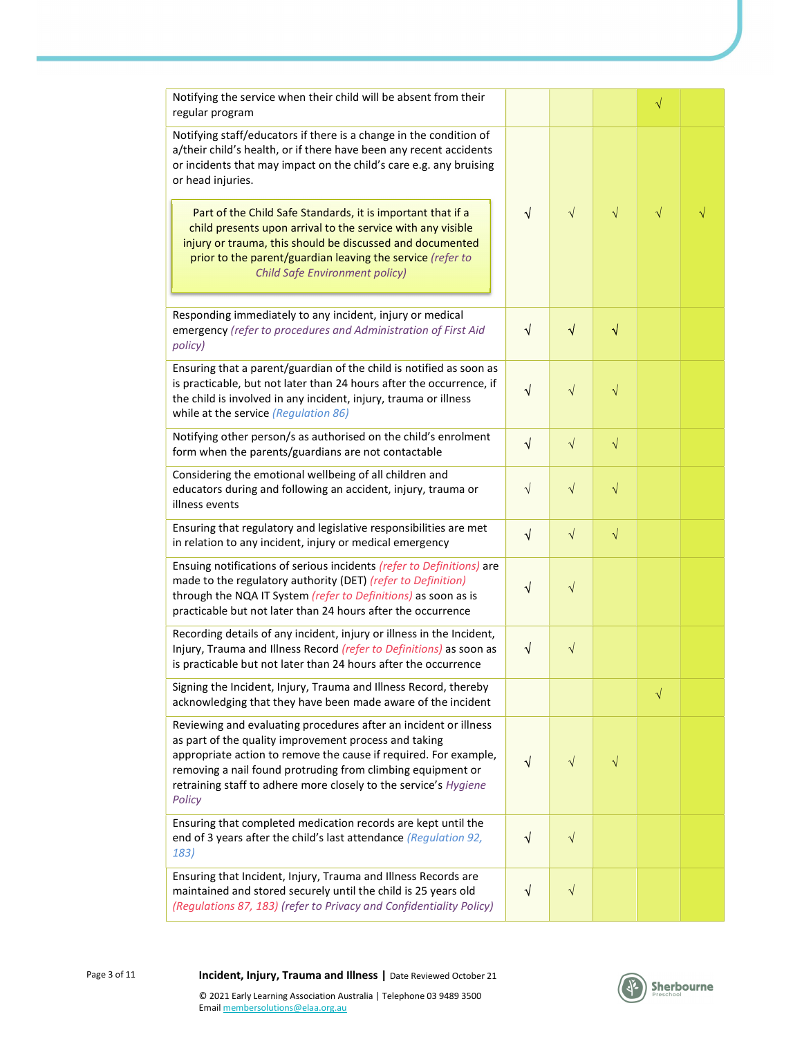| Notifying the service when their child will be absent from their<br>regular program                                                                                                                                                                                                                                                        |            |           |           | $\sqrt{}$ |  |
|--------------------------------------------------------------------------------------------------------------------------------------------------------------------------------------------------------------------------------------------------------------------------------------------------------------------------------------------|------------|-----------|-----------|-----------|--|
| Notifying staff/educators if there is a change in the condition of<br>a/their child's health, or if there have been any recent accidents<br>or incidents that may impact on the child's care e.g. any bruising<br>or head injuries.                                                                                                        |            |           |           |           |  |
| Part of the Child Safe Standards, it is important that if a<br>child presents upon arrival to the service with any visible<br>injury or trauma, this should be discussed and documented<br>prior to the parent/guardian leaving the service (refer to<br><b>Child Safe Environment policy)</b>                                             | $\sqrt{ }$ | $\sqrt{}$ | $\sqrt{}$ | $\sqrt{}$ |  |
| Responding immediately to any incident, injury or medical<br>emergency (refer to procedures and Administration of First Aid<br>policy)                                                                                                                                                                                                     | $\sqrt{}$  | $\sqrt{}$ | $\sqrt{}$ |           |  |
| Ensuring that a parent/guardian of the child is notified as soon as<br>is practicable, but not later than 24 hours after the occurrence, if<br>the child is involved in any incident, injury, trauma or illness<br>while at the service (Regulation 86)                                                                                    | $\sqrt{}$  | $\sqrt{}$ | $\sqrt{}$ |           |  |
| Notifying other person/s as authorised on the child's enrolment<br>form when the parents/guardians are not contactable                                                                                                                                                                                                                     | $\sqrt{}$  | $\sqrt{}$ | $\sqrt{}$ |           |  |
| Considering the emotional wellbeing of all children and<br>educators during and following an accident, injury, trauma or<br>illness events                                                                                                                                                                                                 | $\sqrt{}$  | $\sqrt{}$ | $\sqrt{}$ |           |  |
| Ensuring that regulatory and legislative responsibilities are met<br>in relation to any incident, injury or medical emergency                                                                                                                                                                                                              | $\sqrt{}$  | $\sqrt{}$ | $\sqrt{}$ |           |  |
| Ensuing notifications of serious incidents (refer to Definitions) are<br>made to the regulatory authority (DET) (refer to Definition)<br>through the NQA IT System (refer to Definitions) as soon as is<br>practicable but not later than 24 hours after the occurrence                                                                    | $\sqrt{}$  | $\sqrt{}$ |           |           |  |
| Recording details of any incident, injury or illness in the Incident,<br>Injury, Trauma and Illness Record (refer to Definitions) as soon as<br>is practicable but not later than 24 hours after the occurrence                                                                                                                            | $\sqrt{}$  | $\sqrt{}$ |           |           |  |
| Signing the Incident, Injury, Trauma and Illness Record, thereby<br>acknowledging that they have been made aware of the incident                                                                                                                                                                                                           |            |           |           | $\sqrt{}$ |  |
| Reviewing and evaluating procedures after an incident or illness<br>as part of the quality improvement process and taking<br>appropriate action to remove the cause if required. For example,<br>removing a nail found protruding from climbing equipment or<br>retraining staff to adhere more closely to the service's Hygiene<br>Policy | √          | V         |           |           |  |
| Ensuring that completed medication records are kept until the<br>end of 3 years after the child's last attendance (Regulation 92,<br>183)                                                                                                                                                                                                  | $\sqrt{}$  | $\sqrt{}$ |           |           |  |
| Ensuring that Incident, Injury, Trauma and Illness Records are<br>maintained and stored securely until the child is 25 years old<br>(Regulations 87, 183) (refer to Privacy and Confidentiality Policy)                                                                                                                                    | V          | $\sqrt{}$ |           |           |  |

Page 3 of 11 **Incident, Injury, Trauma and Illness** | Date Reviewed October 21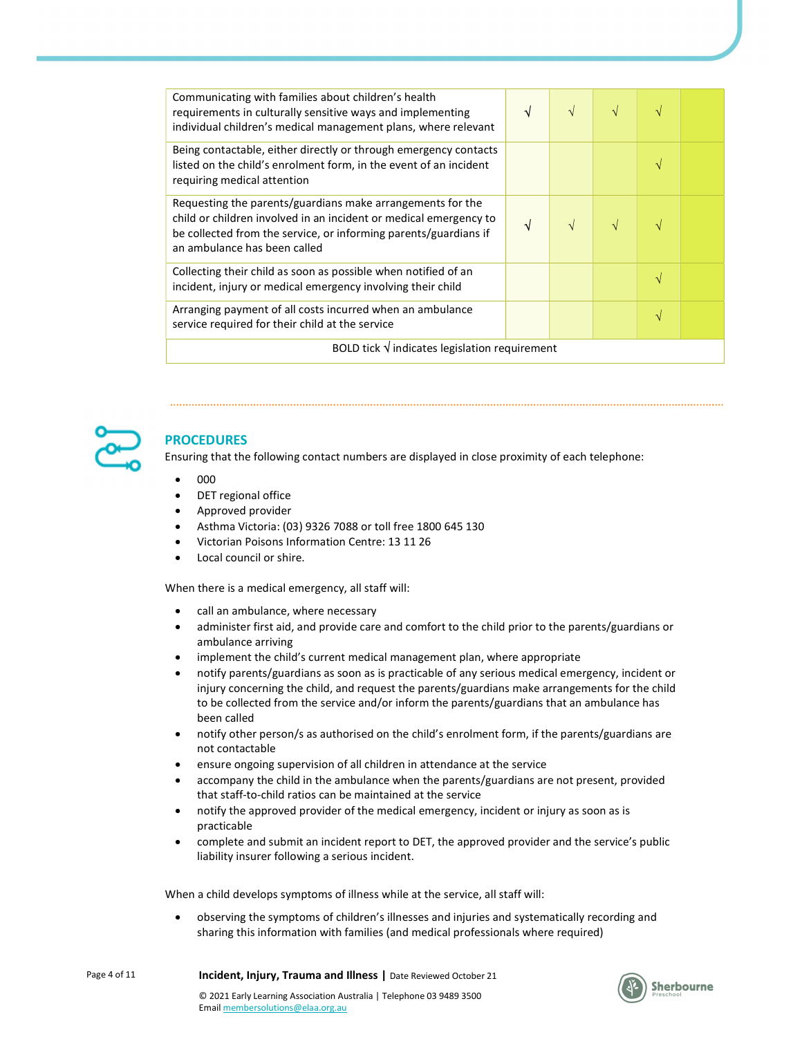| Communicating with families about children's health<br>requirements in culturally sensitive ways and implementing<br>individual children's medical management plans, where relevant                                                 | V  | $\sqrt{ }$ |  |  |  |
|-------------------------------------------------------------------------------------------------------------------------------------------------------------------------------------------------------------------------------------|----|------------|--|--|--|
| Being contactable, either directly or through emergency contacts<br>listed on the child's enrolment form, in the event of an incident<br>requiring medical attention                                                                |    |            |  |  |  |
| Requesting the parents/guardians make arrangements for the<br>child or children involved in an incident or medical emergency to<br>be collected from the service, or informing parents/guardians if<br>an ambulance has been called | ٦I | V          |  |  |  |
| Collecting their child as soon as possible when notified of an<br>incident, injury or medical emergency involving their child                                                                                                       |    |            |  |  |  |
| Arranging payment of all costs incurred when an ambulance<br>service required for their child at the service                                                                                                                        |    |            |  |  |  |
| BOLD tick $\sqrt{}$ indicates legislation requirement                                                                                                                                                                               |    |            |  |  |  |



# PROCEDURES

Ensuring that the following contact numbers are displayed in close proximity of each telephone:

- $000$
- DET regional office
- Approved provider
- Asthma Victoria: (03) 9326 7088 or toll free 1800 645 130
- Victorian Poisons Information Centre: 13 11 26
- Local council or shire.

When there is a medical emergency, all staff will:

- call an ambulance, where necessary
- administer first aid, and provide care and comfort to the child prior to the parents/guardians or ambulance arriving
- implement the child's current medical management plan, where appropriate
- notify parents/guardians as soon as is practicable of any serious medical emergency, incident or injury concerning the child, and request the parents/guardians make arrangements for the child to be collected from the service and/or inform the parents/guardians that an ambulance has been called
- notify other person/s as authorised on the child's enrolment form, if the parents/guardians are not contactable
- ensure ongoing supervision of all children in attendance at the service
- accompany the child in the ambulance when the parents/guardians are not present, provided that staff-to-child ratios can be maintained at the service
- notify the approved provider of the medical emergency, incident or injury as soon as is practicable
- complete and submit an incident report to DET, the approved provider and the service's public liability insurer following a serious incident.

When a child develops symptoms of illness while at the service, all staff will:

 observing the symptoms of children's illnesses and injuries and systematically recording and sharing this information with families (and medical professionals where required)

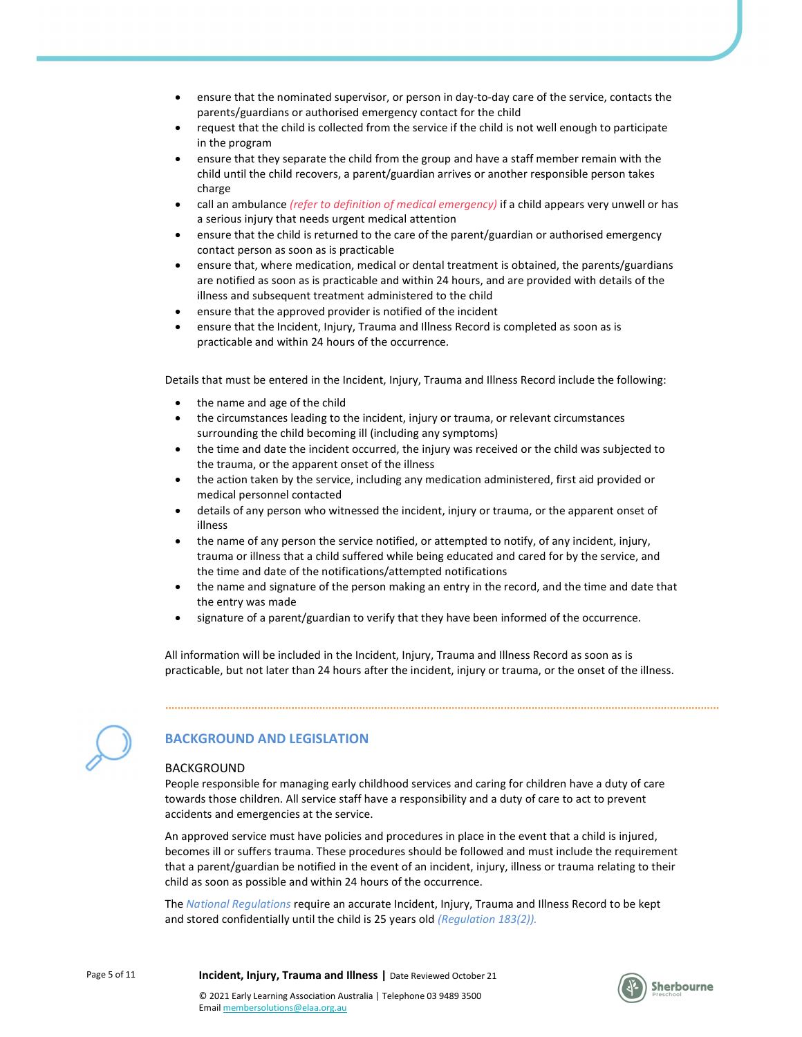- ensure that the nominated supervisor, or person in day-to-day care of the service, contacts the parents/guardians or authorised emergency contact for the child
- request that the child is collected from the service if the child is not well enough to participate in the program
- ensure that they separate the child from the group and have a staff member remain with the child until the child recovers, a parent/guardian arrives or another responsible person takes charge
- call an ambulance (refer to definition of medical emergency) if a child appears very unwell or has a serious injury that needs urgent medical attention
- ensure that the child is returned to the care of the parent/guardian or authorised emergency contact person as soon as is practicable
- ensure that, where medication, medical or dental treatment is obtained, the parents/guardians are notified as soon as is practicable and within 24 hours, and are provided with details of the illness and subsequent treatment administered to the child
- ensure that the approved provider is notified of the incident
- ensure that the Incident, Injury, Trauma and Illness Record is completed as soon as is practicable and within 24 hours of the occurrence.

Details that must be entered in the Incident, Injury, Trauma and Illness Record include the following:

- the name and age of the child
- the circumstances leading to the incident, injury or trauma, or relevant circumstances surrounding the child becoming ill (including any symptoms)
- the time and date the incident occurred, the injury was received or the child was subjected to the trauma, or the apparent onset of the illness
- the action taken by the service, including any medication administered, first aid provided or medical personnel contacted
- details of any person who witnessed the incident, injury or trauma, or the apparent onset of illness
- the name of any person the service notified, or attempted to notify, of any incident, injury, trauma or illness that a child suffered while being educated and cared for by the service, and the time and date of the notifications/attempted notifications
- the name and signature of the person making an entry in the record, and the time and date that the entry was made
- signature of a parent/guardian to verify that they have been informed of the occurrence.

All information will be included in the Incident, Injury, Trauma and Illness Record as soon as is practicable, but not later than 24 hours after the incident, injury or trauma, or the onset of the illness.



## BACKGROUND AND LEGISLATION

#### BACKGROUND

People responsible for managing early childhood services and caring for children have a duty of care towards those children. All service staff have a responsibility and a duty of care to act to prevent accidents and emergencies at the service.

An approved service must have policies and procedures in place in the event that a child is injured, becomes ill or suffers trauma. These procedures should be followed and must include the requirement that a parent/guardian be notified in the event of an incident, injury, illness or trauma relating to their child as soon as possible and within 24 hours of the occurrence.

The National Regulations require an accurate Incident, Injury, Trauma and Illness Record to be kept and stored confidentially until the child is 25 years old (Regulation 183(2)).

Page 5 of 11 **Incident, Injury, Trauma and Illness** | Date Reviewed October 21

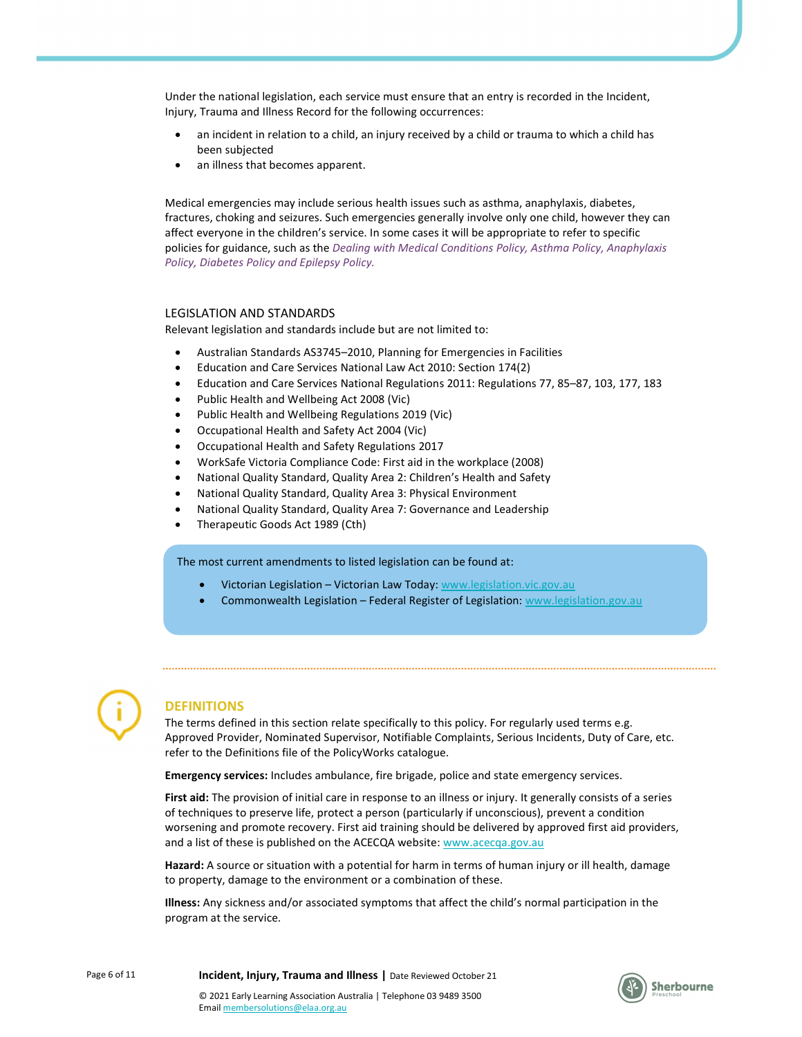Under the national legislation, each service must ensure that an entry is recorded in the Incident, Injury, Trauma and Illness Record for the following occurrences:

- an incident in relation to a child, an injury received by a child or trauma to which a child has been subjected
- an illness that becomes apparent.

Medical emergencies may include serious health issues such as asthma, anaphylaxis, diabetes, fractures, choking and seizures. Such emergencies generally involve only one child, however they can affect everyone in the children's service. In some cases it will be appropriate to refer to specific policies for guidance, such as the Dealing with Medical Conditions Policy, Asthma Policy, Anaphylaxis Policy, Diabetes Policy and Epilepsy Policy.

#### LEGISLATION AND STANDARDS

Relevant legislation and standards include but are not limited to:

- Australian Standards AS3745–2010, Planning for Emergencies in Facilities
- Education and Care Services National Law Act 2010: Section 174(2)
- Education and Care Services National Regulations 2011: Regulations 77, 85–87, 103, 177, 183
- Public Health and Wellbeing Act 2008 (Vic)
- Public Health and Wellbeing Regulations 2019 (Vic)
- Occupational Health and Safety Act 2004 (Vic)
- Occupational Health and Safety Regulations 2017
- WorkSafe Victoria Compliance Code: First aid in the workplace (2008)
- National Quality Standard, Quality Area 2: Children's Health and Safety
- National Quality Standard, Quality Area 3: Physical Environment
- National Quality Standard, Quality Area 7: Governance and Leadership
- Therapeutic Goods Act 1989 (Cth)

The most current amendments to listed legislation can be found at:

- Victorian Legislation Victorian Law Today: www.legislation.vic.gov.au
- Commonwealth Legislation Federal Register of Legislation: www.legislation.gov.au



## **DEFINITIONS**

The terms defined in this section relate specifically to this policy. For regularly used terms e.g. Approved Provider, Nominated Supervisor, Notifiable Complaints, Serious Incidents, Duty of Care, etc. refer to the Definitions file of the PolicyWorks catalogue.

Emergency services: Includes ambulance, fire brigade, police and state emergency services.

First aid: The provision of initial care in response to an illness or injury. It generally consists of a series of techniques to preserve life, protect a person (particularly if unconscious), prevent a condition worsening and promote recovery. First aid training should be delivered by approved first aid providers, and a list of these is published on the ACECQA website: www.acecqa.gov.au

Hazard: A source or situation with a potential for harm in terms of human injury or ill health, damage to property, damage to the environment or a combination of these.

Illness: Any sickness and/or associated symptoms that affect the child's normal participation in the program at the service.

Page 6 of 11 **Incident, Injury, Trauma and Illness** | Date Reviewed October 21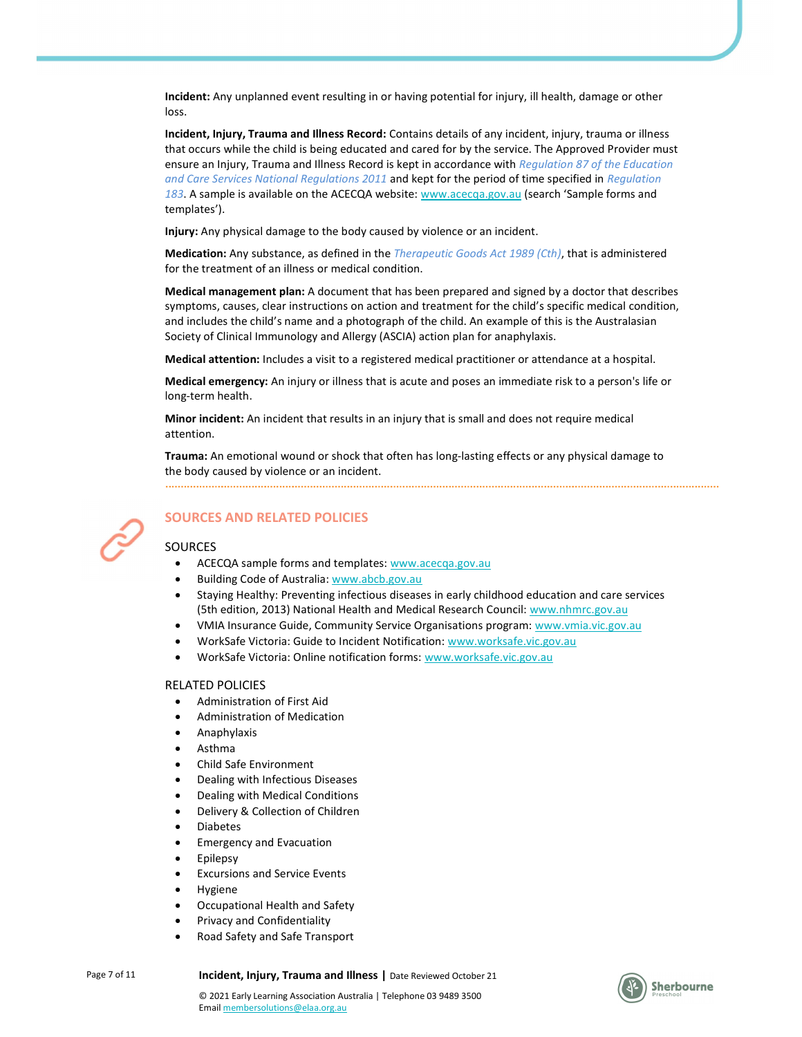Incident: Any unplanned event resulting in or having potential for injury, ill health, damage or other loss.

Incident, Injury, Trauma and Illness Record: Contains details of any incident, injury, trauma or illness that occurs while the child is being educated and cared for by the service. The Approved Provider must ensure an Injury, Trauma and Illness Record is kept in accordance with Regulation 87 of the Education and Care Services National Regulations 2011 and kept for the period of time specified in Regulation 183. A sample is available on the ACECQA website: www.acecqa.gov.au (search 'Sample forms and templates').

Injury: Any physical damage to the body caused by violence or an incident.

**Medication:** Any substance, as defined in the *Therapeutic Goods Act 1989 (Cth)*, that is administered for the treatment of an illness or medical condition.

Medical management plan: A document that has been prepared and signed by a doctor that describes symptoms, causes, clear instructions on action and treatment for the child's specific medical condition, and includes the child's name and a photograph of the child. An example of this is the Australasian Society of Clinical Immunology and Allergy (ASCIA) action plan for anaphylaxis.

Medical attention: Includes a visit to a registered medical practitioner or attendance at a hospital.

Medical emergency: An injury or illness that is acute and poses an immediate risk to a person's life or long-term health.

Minor incident: An incident that results in an injury that is small and does not require medical attention.

Trauma: An emotional wound or shock that often has long-lasting effects or any physical damage to the body caused by violence or an incident.



## SOURCES AND RELATED POLICIES

#### **SOURCES**

- ACECQA sample forms and templates: www.acecqa.gov.au
- Building Code of Australia: www.abcb.gov.au
- Staying Healthy: Preventing infectious diseases in early childhood education and care services (5th edition, 2013) National Health and Medical Research Council: www.nhmrc.gov.au
- VMIA Insurance Guide, Community Service Organisations program: www.vmia.vic.gov.au
- WorkSafe Victoria: Guide to Incident Notification: www.worksafe.vic.gov.au
- WorkSafe Victoria: Online notification forms: www.worksafe.vic.gov.au

#### RELATED POLICIES

- Administration of First Aid
- Administration of Medication
- Anaphylaxis
- Asthma
- Child Safe Environment
- Dealing with Infectious Diseases
- Dealing with Medical Conditions
- Delivery & Collection of Children
- Diabetes
- Emergency and Evacuation
- Epilepsy
- Excursions and Service Events
- Hygiene
- Occupational Health and Safety
- Privacy and Confidentiality
- Road Safety and Safe Transport

Page 7 of 11 **Incident, Injury, Trauma and Illness** | Date Reviewed October 21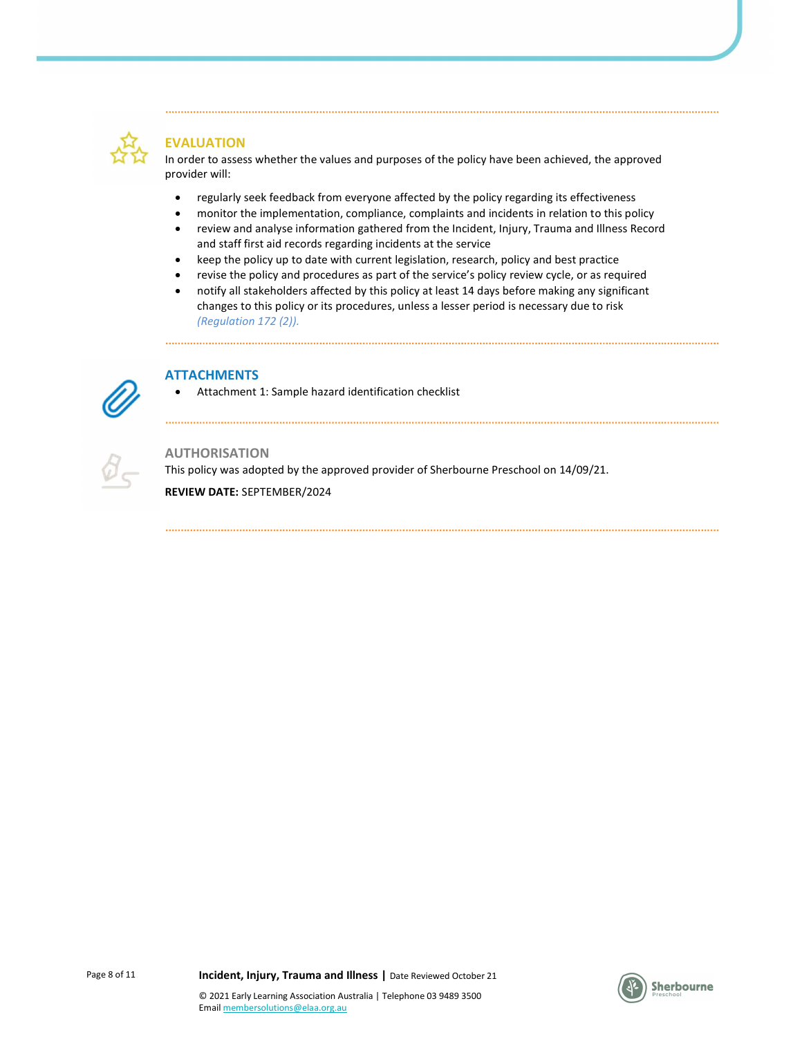

# EVALUATION

In order to assess whether the values and purposes of the policy have been achieved, the approved provider will:

- regularly seek feedback from everyone affected by the policy regarding its effectiveness
- monitor the implementation, compliance, complaints and incidents in relation to this policy
- review and analyse information gathered from the Incident, Injury, Trauma and Illness Record and staff first aid records regarding incidents at the service
- keep the policy up to date with current legislation, research, policy and best practice
- revise the policy and procedures as part of the service's policy review cycle, or as required
- notify all stakeholders affected by this policy at least 14 days before making any significant changes to this policy or its procedures, unless a lesser period is necessary due to risk (Regulation 172 (2)).



## ATTACHMENTS

...................................

Attachment 1: Sample hazard identification checklist



## AUTHORISATION

This policy was adopted by the approved provider of Sherbourne Preschool on 14/09/21. REVIEW DATE: SEPTEMBER/2024



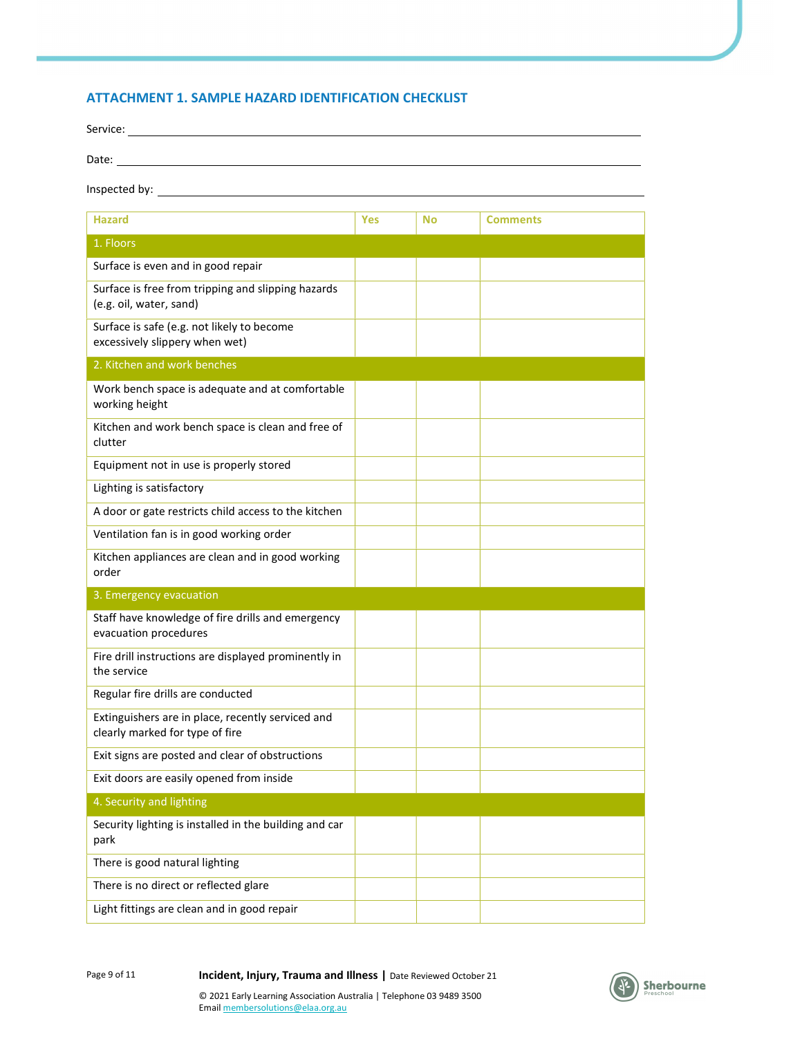## ATTACHMENT 1. SAMPLE HAZARD IDENTIFICATION CHECKLIST

| Service:      |  |
|---------------|--|
| Date:         |  |
| Inspected by: |  |

| <b>Hazard</b>                                                                        | Yes | <b>No</b> | <b>Comments</b> |
|--------------------------------------------------------------------------------------|-----|-----------|-----------------|
| 1. Floors                                                                            |     |           |                 |
| Surface is even and in good repair                                                   |     |           |                 |
| Surface is free from tripping and slipping hazards<br>(e.g. oil, water, sand)        |     |           |                 |
| Surface is safe (e.g. not likely to become<br>excessively slippery when wet)         |     |           |                 |
| 2. Kitchen and work benches                                                          |     |           |                 |
| Work bench space is adequate and at comfortable<br>working height                    |     |           |                 |
| Kitchen and work bench space is clean and free of<br>clutter                         |     |           |                 |
| Equipment not in use is properly stored                                              |     |           |                 |
| Lighting is satisfactory                                                             |     |           |                 |
| A door or gate restricts child access to the kitchen                                 |     |           |                 |
| Ventilation fan is in good working order                                             |     |           |                 |
| Kitchen appliances are clean and in good working<br>order                            |     |           |                 |
| 3. Emergency evacuation                                                              |     |           |                 |
| Staff have knowledge of fire drills and emergency<br>evacuation procedures           |     |           |                 |
| Fire drill instructions are displayed prominently in<br>the service                  |     |           |                 |
| Regular fire drills are conducted                                                    |     |           |                 |
| Extinguishers are in place, recently serviced and<br>clearly marked for type of fire |     |           |                 |
| Exit signs are posted and clear of obstructions                                      |     |           |                 |
| Exit doors are easily opened from inside                                             |     |           |                 |
| 4. Security and lighting                                                             |     |           |                 |
| Security lighting is installed in the building and car<br>park                       |     |           |                 |
| There is good natural lighting                                                       |     |           |                 |
| There is no direct or reflected glare                                                |     |           |                 |
| Light fittings are clean and in good repair                                          |     |           |                 |

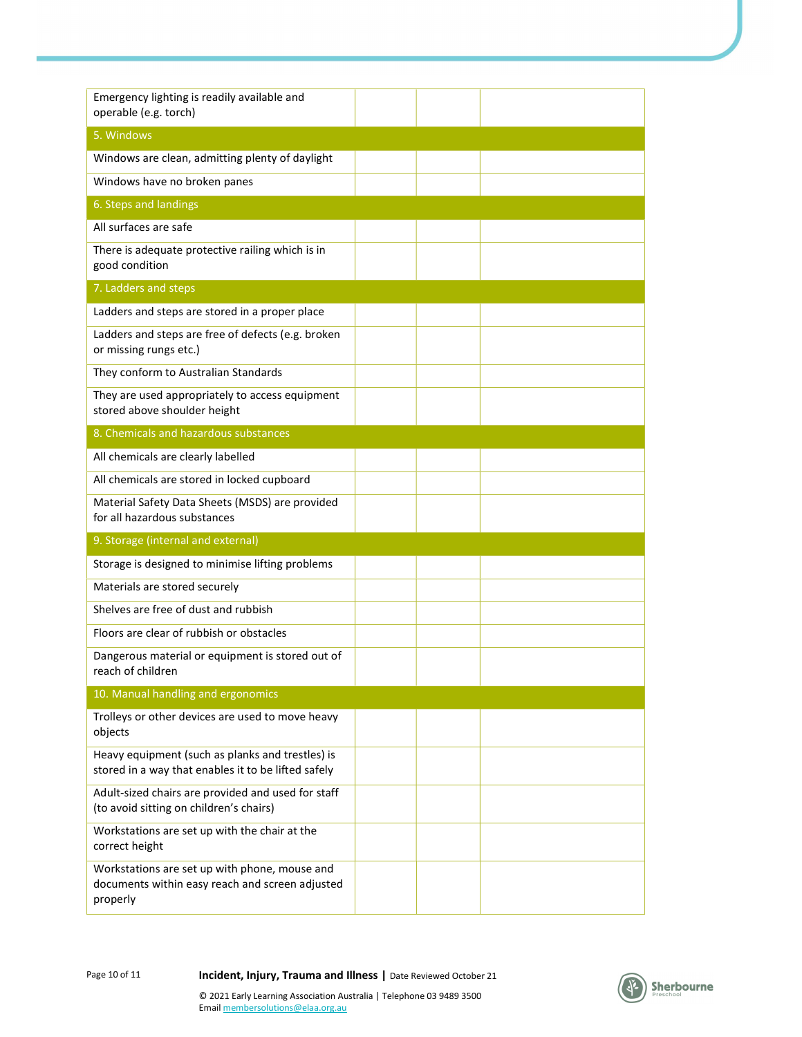| Emergency lighting is readily available and<br>operable (e.g. torch)                                         |  |  |
|--------------------------------------------------------------------------------------------------------------|--|--|
| 5. Windows                                                                                                   |  |  |
| Windows are clean, admitting plenty of daylight                                                              |  |  |
| Windows have no broken panes                                                                                 |  |  |
| 6. Steps and landings                                                                                        |  |  |
| All surfaces are safe                                                                                        |  |  |
| There is adequate protective railing which is in<br>good condition                                           |  |  |
| 7. Ladders and steps                                                                                         |  |  |
| Ladders and steps are stored in a proper place                                                               |  |  |
| Ladders and steps are free of defects (e.g. broken<br>or missing rungs etc.)                                 |  |  |
| They conform to Australian Standards                                                                         |  |  |
| They are used appropriately to access equipment<br>stored above shoulder height                              |  |  |
| 8. Chemicals and hazardous substances                                                                        |  |  |
| All chemicals are clearly labelled                                                                           |  |  |
| All chemicals are stored in locked cupboard                                                                  |  |  |
| Material Safety Data Sheets (MSDS) are provided<br>for all hazardous substances                              |  |  |
| 9. Storage (internal and external)                                                                           |  |  |
| Storage is designed to minimise lifting problems                                                             |  |  |
| Materials are stored securely                                                                                |  |  |
| Shelves are free of dust and rubbish                                                                         |  |  |
| Floors are clear of rubbish or obstacles                                                                     |  |  |
| Dangerous material or equipment is stored out of<br>reach of children                                        |  |  |
| 10. Manual handling and ergonomics                                                                           |  |  |
| Trolleys or other devices are used to move heavy<br>objects                                                  |  |  |
| Heavy equipment (such as planks and trestles) is<br>stored in a way that enables it to be lifted safely      |  |  |
| Adult-sized chairs are provided and used for staff<br>(to avoid sitting on children's chairs)                |  |  |
| Workstations are set up with the chair at the<br>correct height                                              |  |  |
| Workstations are set up with phone, mouse and<br>documents within easy reach and screen adjusted<br>properly |  |  |